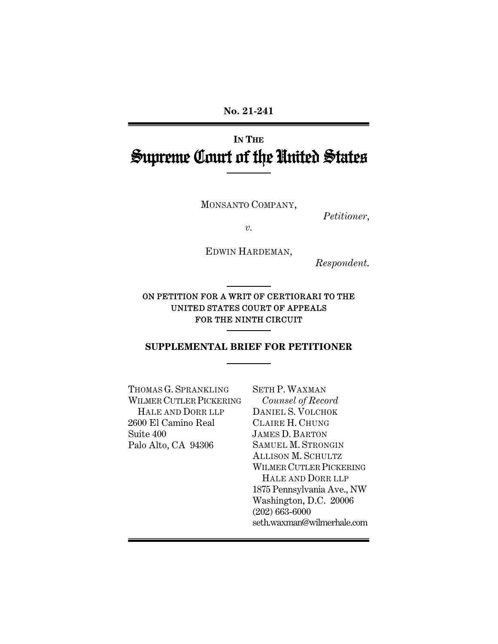**No. 21-241** 

# **IN THE** Supreme Court of the United States

MONSANTO COMPANY,

*Petitioner*,

*v.*

EDWIN HARDEMAN,

*Respondent*.

ON PETITION FOR A WRIT OF CERTIORARI TO THE UNITED STATES COURT OF APPEALS FOR THE NINTH CIRCUIT

#### **SUPPLEMENTAL BRIEF FOR PETITIONER**

THOMAS G. SPRANKLING WILMER CUTLER PICKERING HALE AND DORR LLP 2600 El Camino Real Suite 400 Palo Alto, CA 94306

SETH P. WAXMAN *Counsel of Record* DANIEL S. VOLCHOK CLAIRE H. CHUNG JAMES D. BARTON SAMUEL M. STRONGIN ALLISON M. SCHULTZ WILMER CUTLER PICKERING HALE AND DORR LLP 1875 Pennsylvania Ave., NW Washington, D.C. 20006 (202) 663-6000 seth.waxman@wilmerhale.com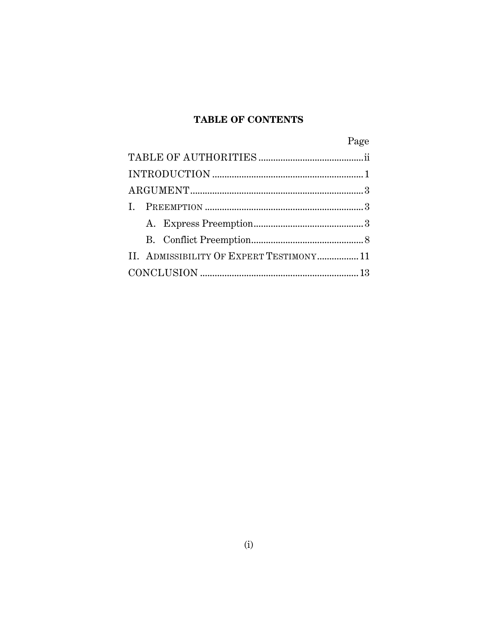### **TABLE OF CONTENTS**

|                                          | Page |
|------------------------------------------|------|
|                                          |      |
|                                          |      |
|                                          |      |
|                                          |      |
|                                          |      |
|                                          |      |
| II. ADMISSIBILITY OF EXPERT TESTIMONY 11 |      |
|                                          |      |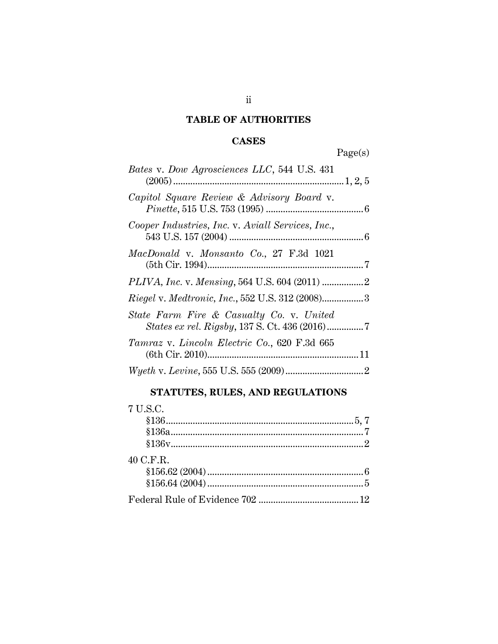### **TABLE OF AUTHORITIES**

### **CASES**

Page(s)

| Bates v. Dow Agrosciences LLC, 544 U.S. 431                                                     |  |
|-------------------------------------------------------------------------------------------------|--|
|                                                                                                 |  |
| Capitol Square Review & Advisory Board v.                                                       |  |
| Cooper Industries, Inc. v. Aviall Services, Inc.,                                               |  |
| MacDonald v. Monsanto Co., 27 F.3d 1021                                                         |  |
|                                                                                                 |  |
|                                                                                                 |  |
| State Farm Fire & Casualty Co. v. United<br><i>States ex rel. Rigsby, 137 S. Ct. 436 (2016)</i> |  |
| Tamraz v. Lincoln Electric Co., 620 F.3d 665                                                    |  |
|                                                                                                 |  |

## **STATUTES, RULES, AND REGULATIONS**

| 7 U.S.C.  |  |
|-----------|--|
|           |  |
|           |  |
|           |  |
| 40 C.F.R. |  |
|           |  |
|           |  |
|           |  |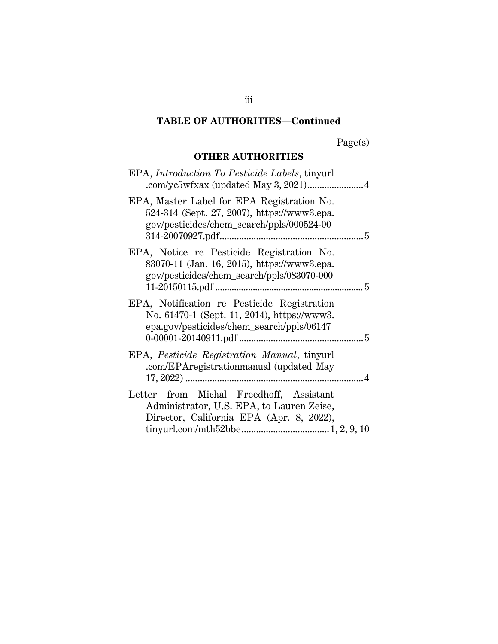### **TABLE OF AUTHORITIES—Continued**

Page(s)

### **OTHER AUTHORITIES**

| EPA, Introduction To Pesticide Labels, tinyurl                                                                                          |
|-----------------------------------------------------------------------------------------------------------------------------------------|
| EPA, Master Label for EPA Registration No.<br>524-314 (Sept. 27, 2007), https://www3.epa.<br>gov/pesticides/chem_search/ppls/000524-00  |
| EPA, Notice re Pesticide Registration No.<br>83070-11 (Jan. 16, 2015), https://www3.epa.<br>gov/pesticides/chem_search/ppls/083070-000  |
| EPA, Notification re Pesticide Registration<br>No. 61470-1 (Sept. 11, 2014), https://www3.<br>epa.gov/pesticides/chem_search/ppls/06147 |
| EPA, Pesticide Registration Manual, tinyurl<br>.com/EPAregistrationmanual (updated May                                                  |
| Letter from Michal Freedhoff, Assistant<br>Administrator, U.S. EPA, to Lauren Zeise,<br>Director, California EPA (Apr. 8, 2022),        |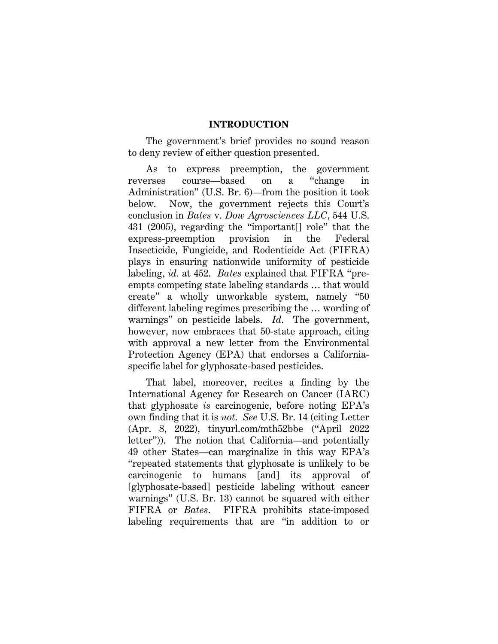#### **INTRODUCTION**

The government's brief provides no sound reason to deny review of either question presented.

As to express preemption, the government reverses course—based on a "change in Administration" (U.S. Br. 6)—from the position it took below. Now, the government rejects this Court's conclusion in *Bates* v. *Dow Agrosciences LLC*, 544 U.S. 431 (2005), regarding the "important[] role" that the express-preemption provision in the Federal Insecticide, Fungicide, and Rodenticide Act (FIFRA) plays in ensuring nationwide uniformity of pesticide labeling, *id.* at 452. *Bates* explained that FIFRA "preempts competing state labeling standards … that would create" a wholly unworkable system, namely "50 different labeling regimes prescribing the … wording of warnings" on pesticide labels. *Id*. The government, however, now embraces that 50-state approach, citing with approval a new letter from the Environmental Protection Agency (EPA) that endorses a Californiaspecific label for glyphosate-based pesticides.

That label, moreover, recites a finding by the International Agency for Research on Cancer (IARC) that glyphosate *is* carcinogenic, before noting EPA's own finding that it is *not*. *See* U.S. Br. 14 (citing Letter (Apr. 8, 2022), tinyurl.com/mth52bbe ("April 2022 letter")). The notion that California—and potentially 49 other States—can marginalize in this way EPA's "repeated statements that glyphosate is unlikely to be carcinogenic to humans [and] its approval of [glyphosate-based] pesticide labeling without cancer warnings" (U.S. Br. 13) cannot be squared with either FIFRA or *Bates*. FIFRA prohibits state-imposed labeling requirements that are "in addition to or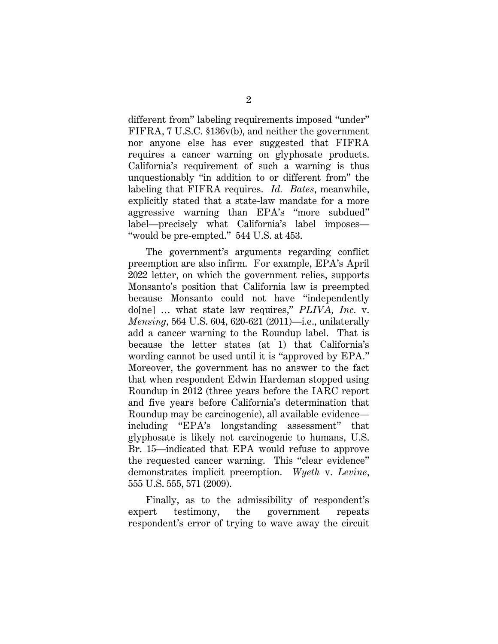different from" labeling requirements imposed "under" FIFRA, 7 U.S.C. §136v(b), and neither the government nor anyone else has ever suggested that FIFRA requires a cancer warning on glyphosate products. California's requirement of such a warning is thus unquestionably "in addition to or different from" the labeling that FIFRA requires. *Id. Bates*, meanwhile, explicitly stated that a state-law mandate for a more aggressive warning than EPA's "more subdued" label—precisely what California's label imposes— "would be pre-empted." 544 U.S. at 453.

The government's arguments regarding conflict preemption are also infirm. For example, EPA's April 2022 letter, on which the government relies, supports Monsanto's position that California law is preempted because Monsanto could not have "independently do[ne] … what state law requires," *PLIVA, Inc.* v. *Mensing*, 564 U.S. 604, 620-621 (2011)—i.e., unilaterally add a cancer warning to the Roundup label. That is because the letter states (at 1) that California's wording cannot be used until it is "approved by EPA." Moreover, the government has no answer to the fact that when respondent Edwin Hardeman stopped using Roundup in 2012 (three years before the IARC report and five years before California's determination that Roundup may be carcinogenic), all available evidence including "EPA's longstanding assessment" that glyphosate is likely not carcinogenic to humans, U.S. Br. 15—indicated that EPA would refuse to approve the requested cancer warning. This "clear evidence" demonstrates implicit preemption. *Wyeth* v. *Levine*, 555 U.S. 555, 571 (2009).

Finally, as to the admissibility of respondent's expert testimony, the government repeats respondent's error of trying to wave away the circuit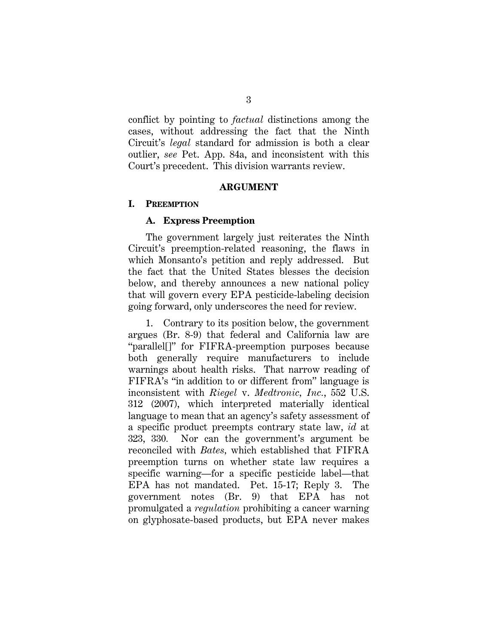conflict by pointing to *factual* distinctions among the cases, without addressing the fact that the Ninth Circuit's *legal* standard for admission is both a clear outlier, *see* Pet. App. 84a, and inconsistent with this Court's precedent. This division warrants review.

#### **ARGUMENT**

#### **I. PREEMPTION**

#### **A. Express Preemption**

The government largely just reiterates the Ninth Circuit's preemption-related reasoning, the flaws in which Monsanto's petition and reply addressed. But the fact that the United States blesses the decision below, and thereby announces a new national policy that will govern every EPA pesticide-labeling decision going forward, only underscores the need for review.

1. Contrary to its position below, the government argues (Br. 8-9) that federal and California law are "parallel[]" for FIFRA-preemption purposes because both generally require manufacturers to include warnings about health risks. That narrow reading of FIFRA's "in addition to or different from" language is inconsistent with *Riegel* v. *Medtronic, Inc.*, 552 U.S. 312 (2007), which interpreted materially identical language to mean that an agency's safety assessment of a specific product preempts contrary state law, *id* at 323, 330*.* Nor can the government's argument be reconciled with *Bates,* which established that FIFRA preemption turns on whether state law requires a specific warning—for a specific pesticide label—that EPA has not mandated. Pet. 15-17; Reply 3. The government notes (Br. 9) that EPA has not promulgated a *regulation* prohibiting a cancer warning on glyphosate-based products, but EPA never makes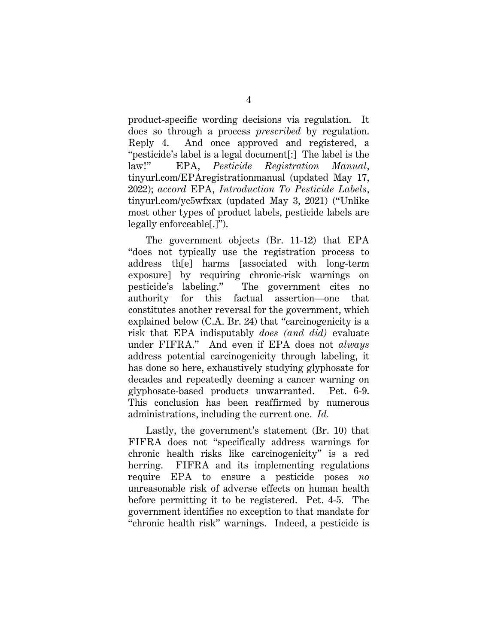product-specific wording decisions via regulation. It does so through a process *prescribed* by regulation. Reply 4. And once approved and registered, a "pesticide's label is a legal document[:] The label is the law!" EPA, *Pesticide Registration Manual*, tinyurl.com/EPAregistrationmanual (updated May 17, 2022); *accord* EPA, *Introduction To Pesticide Labels*, tinyurl.com/yc5wfxax (updated May 3, 2021) ("Unlike most other types of product labels, pesticide labels are legally enforceable[.]").

The government objects (Br. 11-12) that EPA "does not typically use the registration process to address th[e] harms [associated with long-term exposure] by requiring chronic-risk warnings on pesticide's labeling." The government cites no authority for this factual assertion—one that constitutes another reversal for the government, which explained below (C.A. Br. 24) that "carcinogenicity is a risk that EPA indisputably *does (and did)* evaluate under FIFRA." And even if EPA does not *always*  address potential carcinogenicity through labeling, it has done so here, exhaustively studying glyphosate for decades and repeatedly deeming a cancer warning on glyphosate-based products unwarranted. Pet. 6-9. This conclusion has been reaffirmed by numerous administrations, including the current one. *Id.*

Lastly, the government's statement (Br. 10) that FIFRA does not "specifically address warnings for chronic health risks like carcinogenicity" is a red herring. FIFRA and its implementing regulations require EPA to ensure a pesticide poses *no* unreasonable risk of adverse effects on human health before permitting it to be registered. Pet. 4-5. The government identifies no exception to that mandate for "chronic health risk" warnings. Indeed, a pesticide is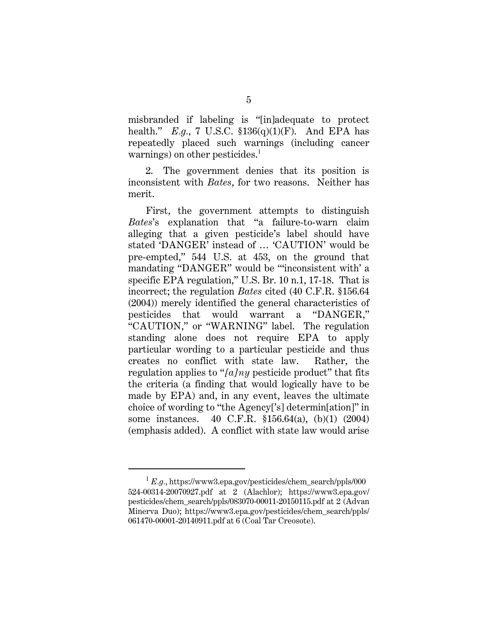misbranded if labeling is "[in]adequate to protect health." *E.g.*, 7 U.S.C. §136(q)(1)(F). And EPA has repeatedly placed such warnings (including cancer warnings) on other pesticides.<sup>1</sup>

2. The government denies that its position is inconsistent with *Bates*, for two reasons. Neither has merit.

First, the government attempts to distinguish *Bates*'s explanation that "a failure-to-warn claim alleging that a given pesticide's label should have stated 'DANGER' instead of … 'CAUTION' would be pre-empted," 544 U.S. at 453, on the ground that mandating "DANGER" would be "'inconsistent with' a specific EPA regulation," U.S. Br. 10 n.1, 17-18. That is incorrect; the regulation *Bates* cited (40 C.F.R. §156.64 (2004)) merely identified the general characteristics of pesticides that would warrant a "DANGER," "CAUTION," or "WARNING" label. The regulation standing alone does not require EPA to apply particular wording to a particular pesticide and thus creates no conflict with state law. Rather, the regulation applies to "*[a]ny* pesticide product" that fits the criteria (a finding that would logically have to be made by EPA) and, in any event, leaves the ultimate choice of wording to "the Agency['s] determin[ation]" in some instances. 40 C.F.R. §156.64(a), (b)(1) (2004) (emphasis added). A conflict with state law would arise

<sup>1</sup> *E.g.*, https://www3.epa.gov/pesticides/chem\_search/ppls/000 524-00314-20070927.pdf at 2 (Alachlor); https://www3.epa.gov/ pesticides/chem\_search/ppls/083070-00011-20150115.pdf at 2 (Advan Minerva Duo); https://www3.epa.gov/pesticides/chem\_search/ppls/ 061470-00001-20140911.pdf at 6 (Coal Tar Creosote).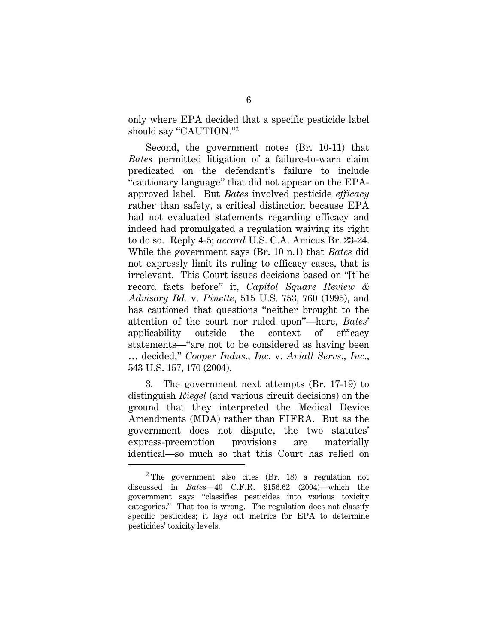only where EPA decided that a specific pesticide label should say "CAUTION."<sup>2</sup>

Second, the government notes (Br. 10-11) that *Bates* permitted litigation of a failure-to-warn claim predicated on the defendant's failure to include "cautionary language" that did not appear on the EPAapproved label. But *Bates* involved pesticide *efficacy* rather than safety, a critical distinction because EPA had not evaluated statements regarding efficacy and indeed had promulgated a regulation waiving its right to do so. Reply 4-5; *accord* U.S. C.A. Amicus Br. 23-24. While the government says (Br. 10 n.1) that *Bates* did not expressly limit its ruling to efficacy cases, that is irrelevant. This Court issues decisions based on "[t]he record facts before" it, *Capitol Square Review & Advisory Bd.* v. *Pinette*, 515 U.S. 753, 760 (1995), and has cautioned that questions "neither brought to the attention of the court nor ruled upon"—here, *Bates*' applicability outside the context of efficacy statements—"are not to be considered as having been … decided," *Cooper Indus., Inc.* v. *Aviall Servs., Inc.*, 543 U.S. 157, 170 (2004).

3. The government next attempts (Br. 17-19) to distinguish *Riegel* (and various circuit decisions) on the ground that they interpreted the Medical Device Amendments (MDA) rather than FIFRA. But as the government does not dispute, the two statutes' express-preemption provisions are materially identical—so much so that this Court has relied on

 $2$  The government also cites (Br. 18) a regulation not discussed in *Bates*—40 C.F.R. §156.62 (2004)—which the government says "classifies pesticides into various toxicity categories." That too is wrong. The regulation does not classify specific pesticides; it lays out metrics for EPA to determine pesticides' toxicity levels.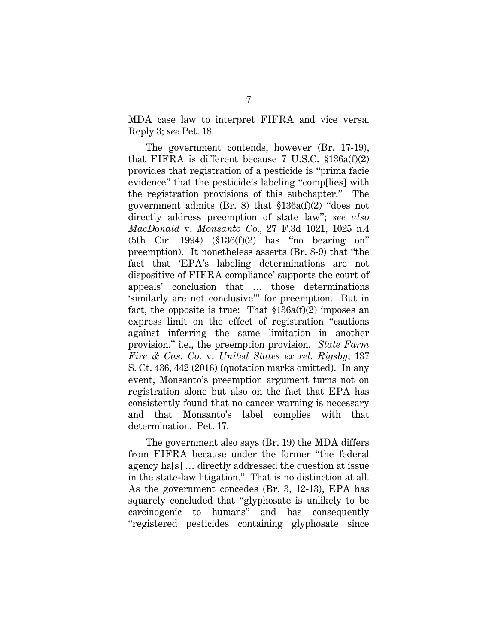MDA case law to interpret FIFRA and vice versa. Reply 3; *see* Pet. 18.

The government contends, however (Br. 17-19), that FIFRA is different because 7 U.S.C.  $$136a(f)(2)$ provides that registration of a pesticide is "prima facie evidence" that the pesticide's labeling "comp[lies] with the registration provisions of this subchapter." The government admits (Br. 8) that §136a(f)(2) "does not directly address preemption of state law"; *see also MacDonald* v. *Monsanto Co.,* 27 F.3d 1021, 1025 n.4 (5th Cir. 1994) (§136(f)(2) has "no bearing on" preemption). It nonetheless asserts (Br. 8-9) that "the fact that 'EPA's labeling determinations are not dispositive of FIFRA compliance' supports the court of appeals' conclusion that … those determinations 'similarly are not conclusive'" for preemption. But in fact, the opposite is true: That §136a(f)(2) imposes an express limit on the effect of registration "cautions against inferring the same limitation in another provision," i.e., the preemption provision. *State Farm Fire & Cas. Co.* v. *United States ex rel. Rigsby*, 137 S. Ct. 436, 442 (2016) (quotation marks omitted). In any event, Monsanto's preemption argument turns not on registration alone but also on the fact that EPA has consistently found that no cancer warning is necessary and that Monsanto's label complies with that determination. Pet. 17.

The government also says (Br. 19) the MDA differs from FIFRA because under the former "the federal agency ha[s] … directly addressed the question at issue in the state-law litigation." That is no distinction at all. As the government concedes (Br. 3, 12-13), EPA has squarely concluded that "glyphosate is unlikely to be carcinogenic to humans" and has consequently "registered pesticides containing glyphosate since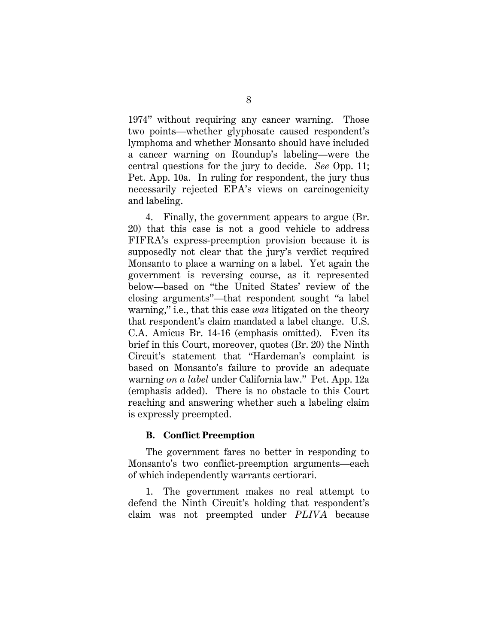1974" without requiring any cancer warning. Those two points—whether glyphosate caused respondent's lymphoma and whether Monsanto should have included a cancer warning on Roundup's labeling—were the central questions for the jury to decide. *See* Opp. 11; Pet. App. 10a. In ruling for respondent, the jury thus necessarily rejected EPA's views on carcinogenicity and labeling.

4. Finally, the government appears to argue (Br. 20) that this case is not a good vehicle to address FIFRA's express-preemption provision because it is supposedly not clear that the jury's verdict required Monsanto to place a warning on a label. Yet again the government is reversing course, as it represented below—based on "the United States' review of the closing arguments"—that respondent sought "a label warning," i.e., that this case *was* litigated on the theory that respondent's claim mandated a label change. U.S. C.A. Amicus Br. 14-16 (emphasis omitted). Even its brief in this Court, moreover, quotes (Br. 20) the Ninth Circuit's statement that "Hardeman's complaint is based on Monsanto's failure to provide an adequate warning *on a label* under California law." Pet. App. 12a (emphasis added). There is no obstacle to this Court reaching and answering whether such a labeling claim is expressly preempted.

#### **B. Conflict Preemption**

The government fares no better in responding to Monsanto's two conflict-preemption arguments—each of which independently warrants certiorari.

1. The government makes no real attempt to defend the Ninth Circuit's holding that respondent's claim was not preempted under *PLIVA* because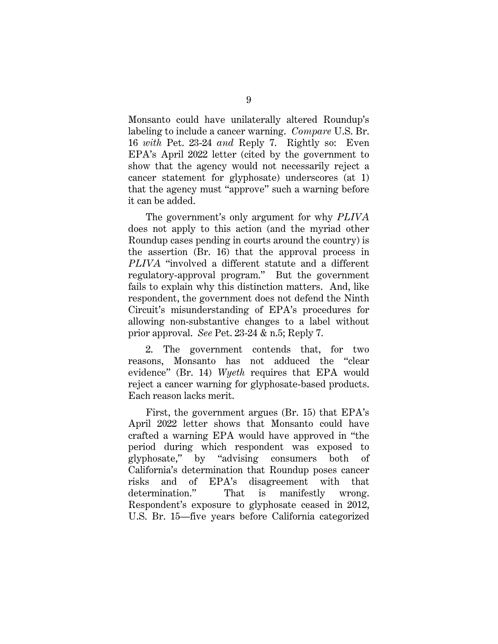Monsanto could have unilaterally altered Roundup's labeling to include a cancer warning. *Compare* U.S. Br. 16 *with* Pet. 23-24 *and* Reply 7. Rightly so: Even EPA's April 2022 letter (cited by the government to show that the agency would not necessarily reject a cancer statement for glyphosate) underscores (at 1) that the agency must "approve" such a warning before it can be added.

The government's only argument for why *PLIVA*  does not apply to this action (and the myriad other Roundup cases pending in courts around the country) is the assertion (Br. 16) that the approval process in *PLIVA* "involved a different statute and a different regulatory-approval program." But the government fails to explain why this distinction matters. And, like respondent, the government does not defend the Ninth Circuit's misunderstanding of EPA's procedures for allowing non-substantive changes to a label without prior approval. *See* Pet. 23-24 & n.5; Reply 7.

2. The government contends that, for two reasons, Monsanto has not adduced the "clear evidence" (Br. 14) *Wyeth* requires that EPA would reject a cancer warning for glyphosate-based products. Each reason lacks merit.

First, the government argues (Br. 15) that EPA's April 2022 letter shows that Monsanto could have crafted a warning EPA would have approved in "the period during which respondent was exposed to glyphosate," by "advising consumers both of California's determination that Roundup poses cancer risks and of EPA's disagreement with that determination." That is manifestly wrong. Respondent's exposure to glyphosate ceased in 2012, U.S. Br. 15—five years before California categorized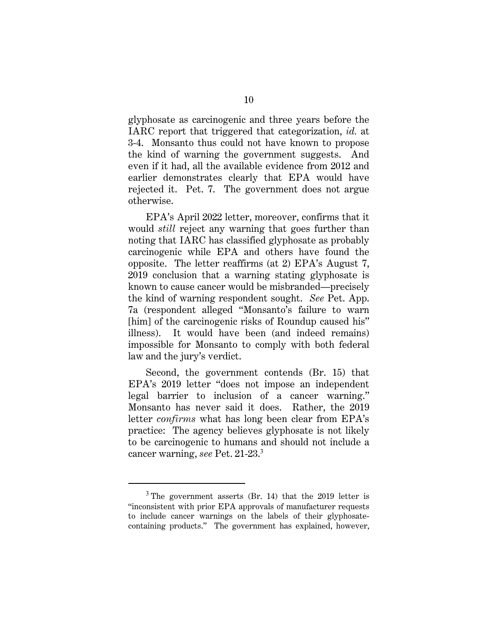glyphosate as carcinogenic and three years before the IARC report that triggered that categorization, *id.* at 3-4. Monsanto thus could not have known to propose the kind of warning the government suggests. And even if it had, all the available evidence from 2012 and earlier demonstrates clearly that EPA would have rejected it. Pet. 7. The government does not argue otherwise.

EPA's April 2022 letter, moreover, confirms that it would *still* reject any warning that goes further than noting that IARC has classified glyphosate as probably carcinogenic while EPA and others have found the opposite. The letter reaffirms (at 2) EPA's August 7, 2019 conclusion that a warning stating glyphosate is known to cause cancer would be misbranded—precisely the kind of warning respondent sought. *See* Pet. App. 7a (respondent alleged "Monsanto's failure to warn [him] of the carcinogenic risks of Roundup caused his" illness). It would have been (and indeed remains) impossible for Monsanto to comply with both federal law and the jury's verdict.

Second, the government contends (Br. 15) that EPA's 2019 letter "does not impose an independent legal barrier to inclusion of a cancer warning." Monsanto has never said it does. Rather, the 2019 letter *confirms* what has long been clear from EPA's practice: The agency believes glyphosate is not likely to be carcinogenic to humans and should not include a cancer warning, *see* Pet. 21-23.<sup>3</sup>

 $3$  The government asserts (Br. 14) that the 2019 letter is "inconsistent with prior EPA approvals of manufacturer requests to include cancer warnings on the labels of their glyphosatecontaining products." The government has explained, however,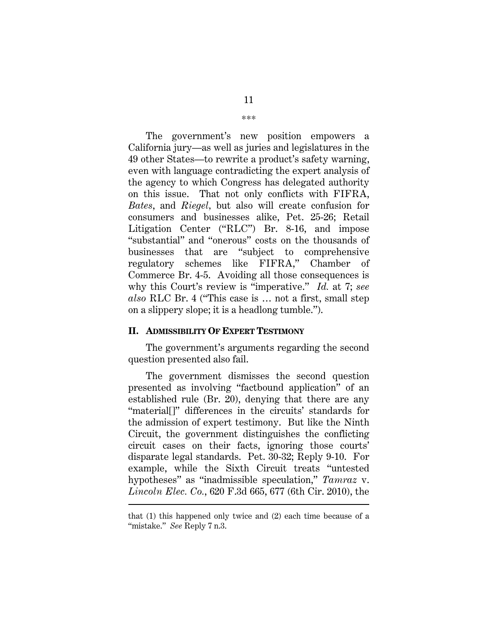The government's new position empowers a California jury—as well as juries and legislatures in the 49 other States—to rewrite a product's safety warning, even with language contradicting the expert analysis of the agency to which Congress has delegated authority on this issue. That not only conflicts with FIFRA, *Bates*, and *Riegel,* but also will create confusion for consumers and businesses alike, Pet. 25-26; Retail Litigation Center ("RLC") Br. 8-16, and impose "substantial" and "onerous" costs on the thousands of businesses that are "subject to comprehensive regulatory schemes like FIFRA," Chamber of Commerce Br. 4-5. Avoiding all those consequences is why this Court's review is "imperative." *Id.* at 7; *see also* RLC Br. 4 ("This case is … not a first, small step on a slippery slope; it is a headlong tumble.").

#### **II. ADMISSIBILITY OF EXPERT TESTIMONY**

The government's arguments regarding the second question presented also fail.

The government dismisses the second question presented as involving "factbound application" of an established rule (Br. 20), denying that there are any "material[]" differences in the circuits' standards for the admission of expert testimony. But like the Ninth Circuit, the government distinguishes the conflicting circuit cases on their facts, ignoring those courts' disparate legal standards. Pet. 30-32; Reply 9-10. For example, while the Sixth Circuit treats "untested hypotheses" as "inadmissible speculation," *Tamraz* v. *Lincoln Elec. Co.*, 620 F.3d 665, 677 (6th Cir. 2010), the

that (1) this happened only twice and (2) each time because of a "mistake." *See* Reply 7 n.3.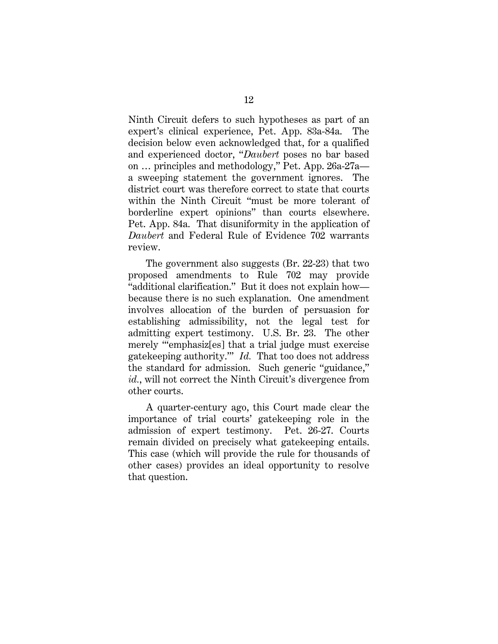Ninth Circuit defers to such hypotheses as part of an expert's clinical experience, Pet. App. 83a-84a. The decision below even acknowledged that, for a qualified and experienced doctor, "*Daubert* poses no bar based on … principles and methodology," Pet. App. 26a-27a a sweeping statement the government ignores. The district court was therefore correct to state that courts within the Ninth Circuit "must be more tolerant of borderline expert opinions" than courts elsewhere. Pet. App. 84a. That disuniformity in the application of *Daubert* and Federal Rule of Evidence 702 warrants review.

The government also suggests (Br. 22-23) that two proposed amendments to Rule 702 may provide "additional clarification." But it does not explain how because there is no such explanation. One amendment involves allocation of the burden of persuasion for establishing admissibility, not the legal test for admitting expert testimony. U.S. Br. 23. The other merely "'emphasiz[es] that a trial judge must exercise gatekeeping authority.'" *Id.* That too does not address the standard for admission. Such generic "guidance," *id.*, will not correct the Ninth Circuit's divergence from other courts.

A quarter-century ago, this Court made clear the importance of trial courts' gatekeeping role in the admission of expert testimony. Pet. 26-27. Courts remain divided on precisely what gatekeeping entails. This case (which will provide the rule for thousands of other cases) provides an ideal opportunity to resolve that question.